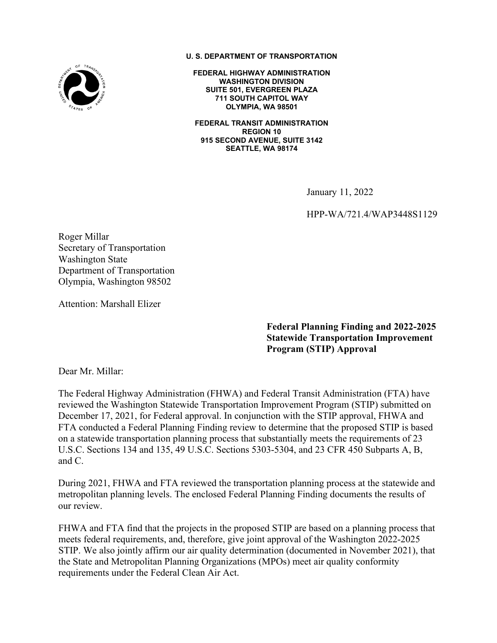

**U. S. DEPARTMENT OF TRANSPORTATION**

**FEDERAL HIGHWAY ADMINISTRATION WASHINGTON DIVISION SUITE 501, EVERGREEN PLAZA 711 SOUTH CAPITOL WAY OLYMPIA, WA 98501**

**FEDERAL TRANSIT ADMINISTRATION REGION 10 915 SECOND AVENUE, SUITE 3142 SEATTLE, WA 98174**

January 11, 2022

HPP-WA/721.4/WAP3448S1129

Roger Millar Secretary of Transportation Washington State Department of Transportation Olympia, Washington 98502

Attention: Marshall Elizer

**Federal Planning Finding and 2022-2025 Statewide Transportation Improvement Program (STIP) Approval**

Dear Mr. Millar:

The Federal Highway Administration (FHWA) and Federal Transit Administration (FTA) have reviewed the Washington Statewide Transportation Improvement Program (STIP) submitted on December 17, 2021, for Federal approval. In conjunction with the STIP approval, FHWA and FTA conducted a Federal Planning Finding review to determine that the proposed STIP is based on a statewide transportation planning process that substantially meets the requirements of 23 U.S.C. Sections 134 and 135, 49 U.S.C. Sections 5303-5304, and 23 CFR 450 Subparts A, B, and C.

During 2021, FHWA and FTA reviewed the transportation planning process at the statewide and metropolitan planning levels. The enclosed Federal Planning Finding documents the results of our review.

FHWA and FTA find that the projects in the proposed STIP are based on a planning process that meets federal requirements, and, therefore, give joint approval of the Washington 2022-2025 STIP. We also jointly affirm our air quality determination (documented in November 2021), that the State and Metropolitan Planning Organizations (MPOs) meet air quality conformity requirements under the Federal Clean Air Act.